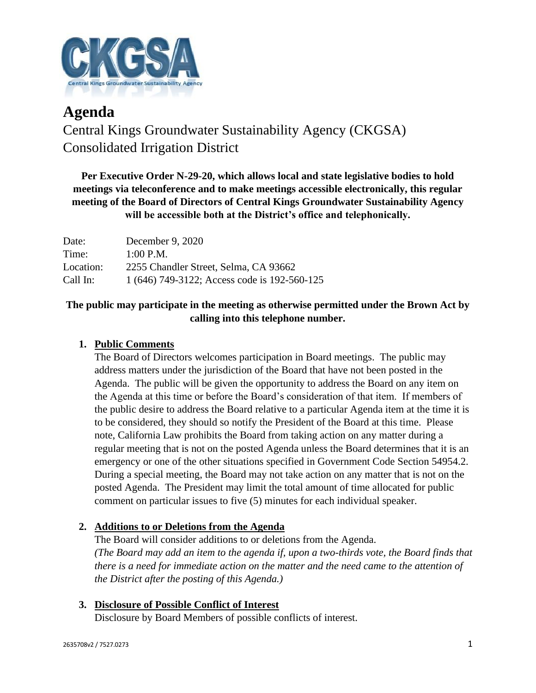

# **Agenda** Central Kings Groundwater Sustainability Agency (CKGSA) Consolidated Irrigation District

**Per Executive Order N-29-20, which allows local and state legislative bodies to hold meetings via teleconference and to make meetings accessible electronically, this regular meeting of the Board of Directors of Central Kings Groundwater Sustainability Agency will be accessible both at the District's office and telephonically.**

| Date:     | December 9, 2020                             |
|-----------|----------------------------------------------|
| Time:     | $1:00$ P.M.                                  |
| Location: | 2255 Chandler Street, Selma, CA 93662        |
| Call In:  | 1 (646) 749-3122; Access code is 192-560-125 |

## **The public may participate in the meeting as otherwise permitted under the Brown Act by calling into this telephone number.**

## **1. Public Comments**

The Board of Directors welcomes participation in Board meetings. The public may address matters under the jurisdiction of the Board that have not been posted in the Agenda. The public will be given the opportunity to address the Board on any item on the Agenda at this time or before the Board's consideration of that item. If members of the public desire to address the Board relative to a particular Agenda item at the time it is to be considered, they should so notify the President of the Board at this time. Please note, California Law prohibits the Board from taking action on any matter during a regular meeting that is not on the posted Agenda unless the Board determines that it is an emergency or one of the other situations specified in Government Code Section 54954.2. During a special meeting, the Board may not take action on any matter that is not on the posted Agenda. The President may limit the total amount of time allocated for public comment on particular issues to five (5) minutes for each individual speaker.

### **2. Additions to or Deletions from the Agenda**

The Board will consider additions to or deletions from the Agenda. *(The Board may add an item to the agenda if, upon a two-thirds vote, the Board finds that there is a need for immediate action on the matter and the need came to the attention of the District after the posting of this Agenda.)*

## **3. Disclosure of Possible Conflict of Interest**

Disclosure by Board Members of possible conflicts of interest.